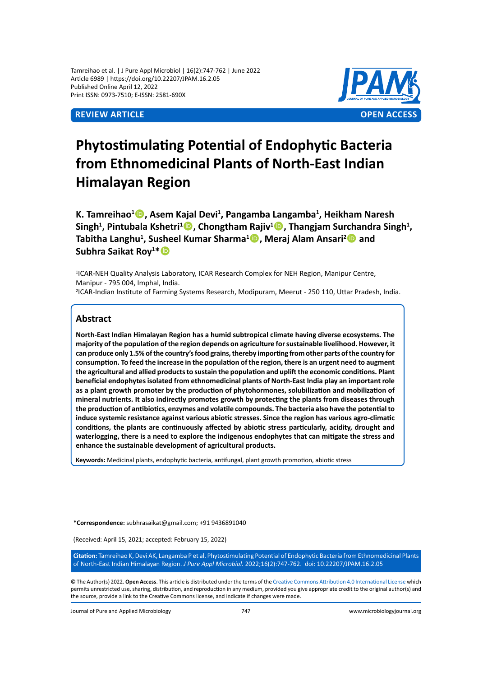Tamreihao et al. | J Pure Appl Microbiol | 16(2):747-762 | June 2022 Article 6989 | https://doi.org/10.22207/JPAM.16.2.05 Published Online April 12, 2022 Print ISSN: 0973-7510; E-ISSN: 2581-690X



# **Phytostimulating Potential of Endophytic Bacteria from Ethnomedicinal Plants of North-East Indian Himalayan Region**

**K. Tamreihao<sup>1</sup> , Asem Kajal Devi<sup>1</sup> , Pangamba Langamba<sup>1</sup> , Heikham Naresh Singh<sup>1</sup> , Pintubala Kshetri<sup>1</sup> , Chongtham Rajiv<sup>1</sup> , Thangjam Surchandra Singh<sup>1</sup> , Tabitha Langhu<sup>1</sup> , Susheel Kumar Sharma<sup>1</sup> , Meraj Alam Ansari<sup>2</sup> and Subhra Saikat Roy<sup>1</sup> \***

<sup>1</sup>ICAR-NEH Quality Analysis Laboratory, ICAR Research Complex for NEH Region, Manipur Centre, Manipur - 795 004, Imphal, India. 2 ICAR-Indian Institute of Farming Systems Research, Modipuram, Meerut - 250 110, Uttar Pradesh, India.

## **Abstract**

**North-East Indian Himalayan Region has a humid subtropical climate having diverse ecosystems. The majority of the population of the region depends on agriculture for sustainable livelihood. However, it can produce only 1.5% of the country's food grains, thereby importing from other parts of the country for consumption. To feed the increase in the population of the region, there is an urgent need to augment the agricultural and allied products to sustain the population and uplift the economic conditions. Plant beneficial endophytes isolated from ethnomedicinal plants of North-East India play an important role as a plant growth promoter by the production of phytohormones, solubilization and mobilization of mineral nutrients. It also indirectly promotes growth by protecting the plants from diseases through the production of antibiotics, enzymes and volatile compounds. The bacteria also have the potential to induce systemic resistance against various abiotic stresses. Since the region has various agro-climatic conditions, the plants are continuously affected by abiotic stress particularly, acidity, drought and waterlogging, there is a need to explore the indigenous endophytes that can mitigate the stress and enhance the sustainable development of agricultural products.** 

**Keywords:** Medicinal plants, endophytic bacteria, antifungal, plant growth promotion, abiotic stress

**\*Correspondence:** subhrasaikat@gmail.com; +91 9436891040

(Received: April 15, 2021; accepted: February 15, 2022)

**Citation:** Tamreihao K, Devi AK, Langamba P et al. Phytostimulating Potential of Endophytic Bacteria from Ethnomedicinal Plants of North-East Indian Himalayan Region. *J Pure Appl Microbiol.* 2022;16(2):747-762. doi: 10.22207/JPAM.16.2.05

© The Author(s) 2022. **Open Access**. This article is distributed under the terms of the [Creative Commons Attribution 4.0 International License](https://creativecommons.org/licenses/by/4.0/) which permits unrestricted use, sharing, distribution, and reproduction in any medium, provided you give appropriate credit to the original author(s) and the source, provide a link to the Creative Commons license, and indicate if changes were made.

Journal of Pure and Applied Microbiology 747 www.microbiologyjournal.org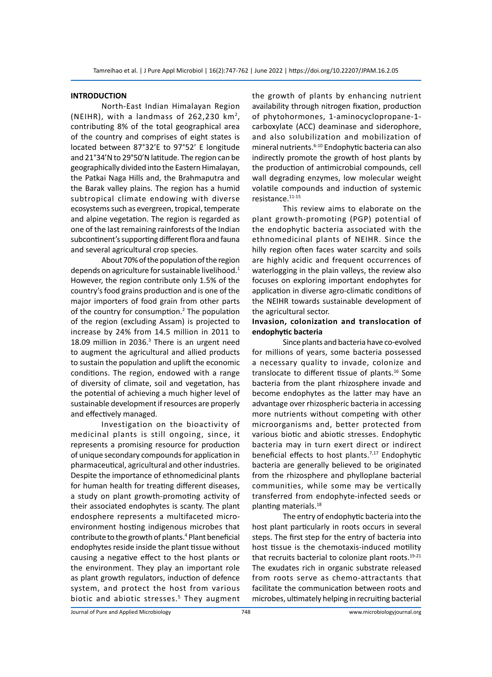### **INTRODUCTION**

North-East Indian Himalayan Region (NEIHR), with a landmass of 262,230  $km^2$ , contributing 8% of the total geographical area of the country and comprises of eight states is located between 87°32'E to 97°52' E longitude and 21°34'N to 29°50'N latitude. The region can be geographically divided into the Eastern Himalayan, the Patkai Naga Hills and, the Brahmaputra and the Barak valley plains. The region has a humid subtropical climate endowing with diverse ecosystems such as evergreen, tropical, temperate and alpine vegetation. The region is regarded as one of the last remaining rainforests of the Indian subcontinent's supporting different flora and fauna and several agricultural crop species.

About 70% of the population of the region depends on agriculture for sustainable livelihood. $1$ However, the region contribute only 1.5% of the country's food grains production and is one of the major importers of food grain from other parts of the country for consumption.<sup>2</sup> The population of the region (excluding Assam) is projected to increase by 24% from 14.5 million in 2011 to 18.09 million in 2036.<sup>3</sup> There is an urgent need to augment the agricultural and allied products to sustain the population and uplift the economic conditions. The region, endowed with a range of diversity of climate, soil and vegetation, has the potential of achieving a much higher level of sustainable development if resources are properly and effectively managed.

Investigation on the bioactivity of medicinal plants is still ongoing, since, it represents a promising resource for production of unique secondary compounds for application in pharmaceutical, agricultural and other industries. Despite the importance of ethnomedicinal plants for human health for treating different diseases, a study on plant growth-promoting activity of their associated endophytes is scanty. The plant endosphere represents a multifaceted microenvironment hosting indigenous microbes that contribute to the growth of plants.<sup>4</sup> Plant beneficial endophytes reside inside the plant tissue without causing a negative effect to the host plants or the environment. They play an important role as plant growth regulators, induction of defence system, and protect the host from various biotic and abiotic stresses.<sup>5</sup> They augment the growth of plants by enhancing nutrient availability through nitrogen fixation, production of phytohormones, 1-aminocyclopropane-1 carboxylate (ACC) deaminase and siderophore, and also solubilization and mobilization of mineral nutrients.<sup>6-10</sup> Endophytic bacteria can also indirectly promote the growth of host plants by the production of antimicrobial compounds, cell wall degrading enzymes, low molecular weight volatile compounds and induction of systemic resistance.11-15

This review aims to elaborate on the plant growth-promoting (PGP) potential of the endophytic bacteria associated with the ethnomedicinal plants of NEIHR. Since the hilly region often faces water scarcity and soils are highly acidic and frequent occurrences of waterlogging in the plain valleys, the review also focuses on exploring important endophytes for application in diverse agro-climatic conditions of the NEIHR towards sustainable development of the agricultural sector.

## **Invasion, colonization and translocation of endophytic bacteria**

Since plants and bacteria have co-evolved for millions of years, some bacteria possessed a necessary quality to invade, colonize and translocate to different tissue of plants.<sup>16</sup> Some bacteria from the plant rhizosphere invade and become endophytes as the latter may have an advantage over rhizospheric bacteria in accessing more nutrients without competing with other microorganisms and, better protected from various biotic and abiotic stresses. Endophytic bacteria may in turn exert direct or indirect beneficial effects to host plants.<sup>7,17</sup> Endophytic bacteria are generally believed to be originated from the rhizosphere and phylloplane bacterial communities, while some may be vertically transferred from endophyte-infected seeds or planting materials.<sup>18</sup>

The entry of endophytic bacteria into the host plant particularly in roots occurs in several steps. The first step for the entry of bacteria into host tissue is the chemotaxis-induced motility that recruits bacterial to colonize plant roots. $19-21$ The exudates rich in organic substrate released from roots serve as chemo-attractants that facilitate the communication between roots and microbes, ultimately helping in recruiting bacterial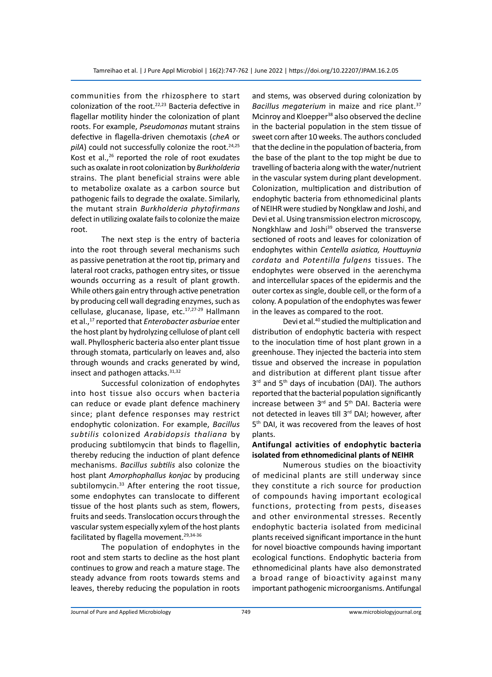communities from the rhizosphere to start colonization of the root.<sup>22,23</sup> Bacteria defective in flagellar motility hinder the colonization of plant roots. For example, *Pseudomonas* mutant strains defective in flagella-driven chemotaxis (*cheA* or pilA) could not successfully colonize the root.<sup>24,25</sup> Kost et al., $^{26}$  reported the role of root exudates such as oxalate in root colonization by *Burkholderia* strains. The plant beneficial strains were able to metabolize oxalate as a carbon source but pathogenic fails to degrade the oxalate. Similarly, the mutant strain *Burkholderia phytofirmans*  defect in utilizing oxalate fails to colonize the maize root.

The next step is the entry of bacteria into the root through several mechanisms such as passive penetration at the root tip, primary and lateral root cracks, pathogen entry sites, or tissue wounds occurring as a result of plant growth. While others gain entry through active penetration by producing cell wall degrading enzymes, such as cellulase, glucanase, lipase, etc.<sup>17,27-29</sup> Hallmann et al.,17 reported that *Enterobacter asburiae* enter the host plant by hydrolyzing cellulose of plant cell wall. Phyllospheric bacteria also enter plant tissue through stomata, particularly on leaves and, also through wounds and cracks generated by wind, insect and pathogen attacks.31,32

Successful colonization of endophytes into host tissue also occurs when bacteria can reduce or evade plant defence machinery since; plant defence responses may restrict endophytic colonization. For example, *Bacillus subtilis* colonized *Arabidopsis thaliana* by producing subtilomycin that binds to flagellin, thereby reducing the induction of plant defence mechanisms. *Bacillus subtilis* also colonize the host plant *Amorphophallus konjac* by producing subtilomycin.<sup>33</sup> After entering the root tissue, some endophytes can translocate to different tissue of the host plants such as stem, flowers, fruits and seeds. Translocation occurs through the vascular system especially xylem of the host plants facilitated by flagella movement.<sup>29,34-36</sup>

The population of endophytes in the root and stem starts to decline as the host plant continues to grow and reach a mature stage. The steady advance from roots towards stems and leaves, thereby reducing the population in roots and stems, was observed during colonization by *Bacillus megaterium* in maize and rice plant.37 Mcinroy and Kloepper<sup>38</sup> also observed the decline in the bacterial population in the stem tissue of sweet corn after 10 weeks. The authors concluded that the decline in the population of bacteria, from the base of the plant to the top might be due to travelling of bacteria along with the water/nutrient in the vascular system during plant development. Colonization, multiplication and distribution of endophytic bacteria from ethnomedicinal plants of NEIHR were studied by Nongklaw and Joshi, and Devi et al. Using transmission electron microscopy, Nongkhlaw and Joshi<sup>39</sup> observed the transverse sectioned of roots and leaves for colonization of endophytes within *Centella asiatica, Houttuynia cordata* and *Potentilla fulgens* tissues. The endophytes were observed in the aerenchyma and intercellular spaces of the epidermis and the outer cortex as single, double cell, or the form of a colony. A population of the endophytes was fewer in the leaves as compared to the root.

Devi et al.<sup>40</sup> studied the multiplication and distribution of endophytic bacteria with respect to the inoculation time of host plant grown in a greenhouse. They injected the bacteria into stem tissue and observed the increase in population and distribution at different plant tissue after 3<sup>rd</sup> and 5<sup>th</sup> days of incubation (DAI). The authors reported that the bacterial population significantly increase between 3rd and 5th DAI. Bacteria were not detected in leaves till 3<sup>rd</sup> DAI; however, after 5<sup>th</sup> DAI, it was recovered from the leaves of host plants.

## **Antifungal activities of endophytic bacteria isolated from ethnomedicinal plants of NEIHR**

Numerous studies on the bioactivity of medicinal plants are still underway since they constitute a rich source for production of compounds having important ecological functions, protecting from pests, diseases and other environmental stresses. Recently endophytic bacteria isolated from medicinal plants received significant importance in the hunt for novel bioactive compounds having important ecological functions. Endophytic bacteria from ethnomedicinal plants have also demonstrated a broad range of bioactivity against many important pathogenic microorganisms. Antifungal

Journal of Pure and Applied Microbiology 749 www.microbiologyjournal.org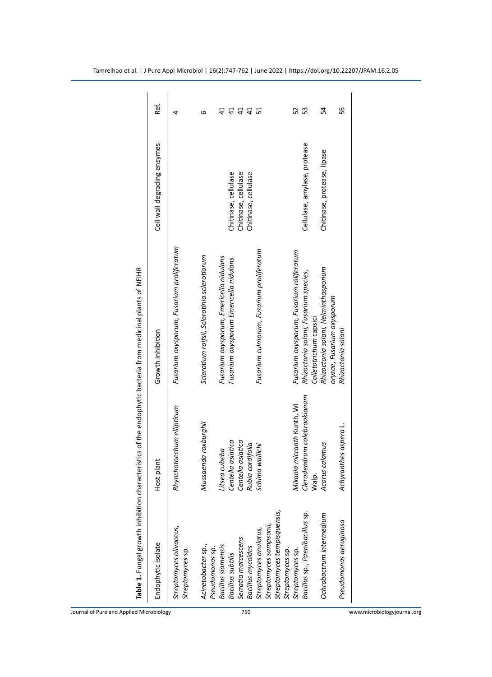| Table 1. Fungal growth inhibition charact              |                                                           | eristics of the endophytic bacteria from medicinal plants of NEIHR                |                                              |                              |
|--------------------------------------------------------|-----------------------------------------------------------|-----------------------------------------------------------------------------------|----------------------------------------------|------------------------------|
| Endophytic isolate                                     | plant<br>Host p                                           | Growth inhibition                                                                 | Cell wall degrading enzymes                  | Ref.                         |
| Streptomyces olivaceus,<br>Streptomyces sp.            | Rhynchotoechum ellipticum                                 | Fusarium oxysporum, Fusarium proliferatum                                         |                                              | 4                            |
| Acinetobacter sp.,<br>Pseudomonas sp.                  | Mussaenda roxburghii                                      | Sclerotium rolfsii, Sclerotinia sclerotiorum                                      |                                              | ဖ                            |
| Bacillus siamensis<br><b>Bacillus</b> subtilis         | Centella asiatica<br>Litsea cubeba                        | Fusarium oxysporum, Emericella nidulans                                           |                                              | $\overline{4}$<br>$\ddot{4}$ |
| Serratia marcescens                                    | Centella asiatica                                         | Fusarium oxysporum Emericella nidulans                                            | Chitinase, cellulase<br>Chitinase, cellulase | 41                           |
| <b>Bacillus mycoides</b>                               | cordifolia<br>Rubia                                       |                                                                                   | Chitinase, cellulase                         | $\overline{4}$               |
| Streptomyces anulatus,                                 | Schima wallichi                                           | Fusarium culmorum, Fusarium proliferatum                                          |                                              | 51                           |
| Streptomyces tempisquensis,<br>Streptomyces sampsonii, |                                                           |                                                                                   |                                              |                              |
| Streptomyces sp.                                       |                                                           |                                                                                   |                                              |                              |
| Bacillus sp., Paenibacillus sp.<br>Streptomyces sp.    | Clerodendrum colebrookianum<br>Mikania micranth Kunth, WI | Fusarium oxysporum, Fusarium roliferatum<br>Rhizoctonia solani, Fusarium species, | Cellulase, amylase, protease                 | 52<br>S                      |
|                                                        | Walp.                                                     | Colletotrichum capsici                                                            |                                              |                              |
| Ochrobactrum intermedium                               | Acorus calamus                                            | Rhizoctonia solani, Helminthosporium<br>oryzae, Fusarium oxysporum                | Chitinase, protease, lipase                  | 54                           |
| Pseudomonas aeruginosa                                 | Achyranthes aspera L.                                     | Rhizoctonia solani                                                                |                                              | 55                           |
|                                                        |                                                           |                                                                                   |                                              |                              |

Journal of Pure and Applied Microbiology 750 www.microbiologyjournal.org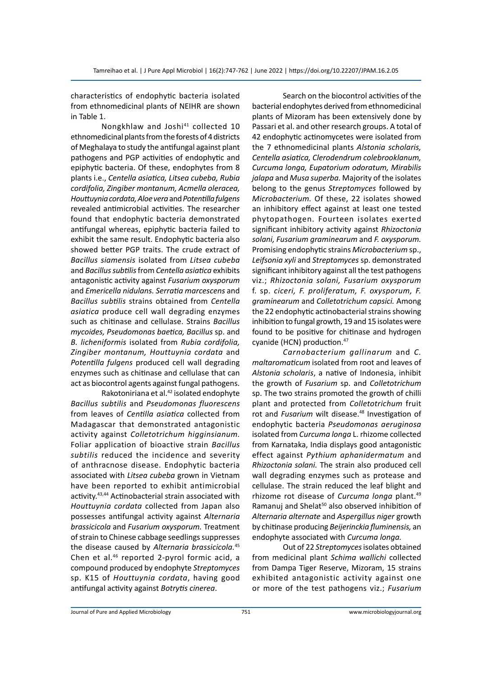characteristics of endophytic bacteria isolated from ethnomedicinal plants of NEIHR are shown in Table 1.

Nongkhlaw and Joshi<sup>41</sup> collected 10 ethnomedicinal plants from the forests of 4 districts of Meghalaya to study the antifungal against plant pathogens and PGP activities of endophytic and epiphytic bacteria. Of these, endophytes from 8 plants i.e., *Centella asiatica, Litsea cubeba, Rubia cordifolia, Zingiber montanum, Acmella oleracea, Houttuynia cordata, Aloe vera* and *Potentilla fulgens* revealed antimicrobial activities. The researcher found that endophytic bacteria demonstrated antifungal whereas, epiphytic bacteria failed to exhibit the same result. Endophytic bacteria also showed better PGP traits. The crude extract of *Bacillus siamensis* isolated from *Litsea cubeba*  and *Bacillus subtilis* from *Centella asiatica* exhibits antagonistic activity against *Fusarium oxysporum*  and *Emericella nidulans. Serratia marcescens* and *Bacillus subtilis* strains obtained from *Centella asiatica* produce cell wall degrading enzymes such as chitinase and cellulase. Strains *Bacillus mycoides, Pseudomonas baetica, Bacillus* sp. and *B. licheniformis* isolated from *Rubia cordifolia, Zingiber montanum, Houttuynia cordata* and *Potentilla fulgens* produced cell wall degrading enzymes such as chitinase and cellulase that can act as biocontrol agents against fungal pathogens.

Rakotoniriana et al.<sup>42</sup> isolated endophyte *Bacillus subtilis* and *Pseudomonas fluorescens*  from leaves of *Centilla asiatica* collected from Madagascar that demonstrated antagonistic activity against *Colletotrichum higginsianum.*  Foliar application of bioactive strain *Bacillus subtilis* reduced the incidence and severity of anthracnose disease. Endophytic bacteria associated with *Litsea cubeba* grown in Vietnam have been reported to exhibit antimicrobial activity.43,44 Actinobacterial strain associated with *Houttuynia cordata* collected from Japan also possesses antifungal activity against *Alternaria brassicicola* and *Fusarium oxysporum.* Treatment of strain to Chinese cabbage seedlings suppresses the disease caused by *Alternaria brassicicola.*<sup>45</sup> Chen et al.46 reported 2-pyrol formic acid, a compound produced by endophyte *Streptomyces*  sp. K15 of *Houttuynia cordata*, having good antifungal activity against *Botrytis cinerea*.

Search on the biocontrol activities of the bacterial endophytes derived from ethnomedicinal plants of Mizoram has been extensively done by Passari et al. and other research groups. A total of 42 endophytic actinomycetes were isolated from the 7 ethnomedicinal plants *Alstonia scholaris, Centella asiatica, Clerodendrum colebrooklanum, Curcuma longa, Eupatorium odoratum, Mirabilis jalapa* and *Musa superba.* Majority of the isolates belong to the genus *Streptomyces* followed by *Microbacterium.* Of these, 22 isolates showed an inhibitory effect against at least one tested phytopathogen. Fourteen isolates exerted significant inhibitory activity against *Rhizoctonia solani, Fusarium graminearum* and *F. oxysporum.*  Promising endophytic strains *Microbacterium* sp., *Leifsonia xyli* and *Streptomyces* sp. demonstrated significant inhibitory against all the test pathogens viz.; *Rhizoctonia solani, Fusarium oxysporum*  f. sp. *ciceri, F. proliferatum, F. oxysporum, F. graminearum* and *Colletotrichum capsici.* Among the 22 endophytic actinobacterial strains showing inhibition to fungal growth, 19 and 15 isolates were found to be positive for chitinase and hydrogen cyanide (HCN) production.<sup>47</sup>

*Carnobacterium gallinarum* and *C. maltaromaticum* isolated from root and leaves of *Alstonia scholaris*, a native of Indonesia, inhibit the growth of *Fusarium* sp. and *Colletotrichum*  sp. The two strains promoted the growth of chilli plant and protected from *Colletotrichum* fruit rot and *Fusarium* wilt disease.<sup>48</sup> Investigation of endophytic bacteria *Pseudomonas aeruginosa*  isolated from *Curcuma longa* L. rhizome collected from Karnataka, India displays good antagonistic effect against *Pythium aphanidermatum* and *Rhizoctonia solani.* The strain also produced cell wall degrading enzymes such as protease and cellulase. The strain reduced the leaf blight and rhizome rot disease of *Curcuma longa* plant.49 Ramanuj and Shelat<sup>50</sup> also observed inhibition of *Alternaria alternate* and *Aspergillus niger* growth by chitinase producing *Beijerinckia fluminensis,* an endophyte associated with *Curcuma longa.*

Out of 22 *Streptomyces* isolates obtained from medicinal plant *Schima wallichi* collected from Dampa Tiger Reserve, Mizoram, 15 strains exhibited antagonistic activity against one or more of the test pathogens viz.; *Fusarium*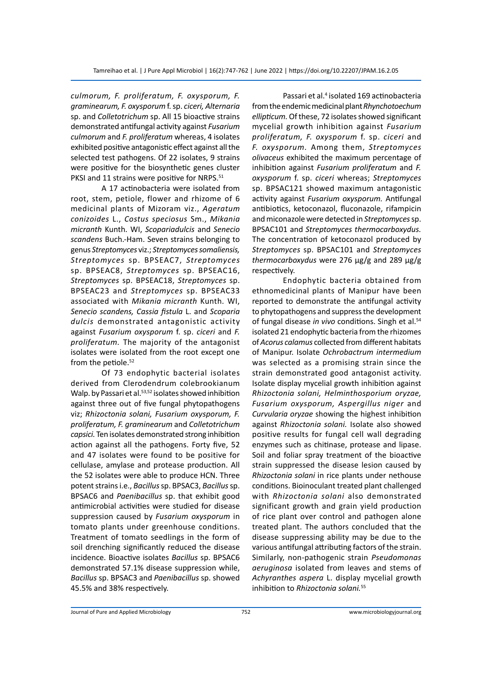*culmorum, F. proliferatum, F. oxysporum, F. graminearum, F. oxysporum* f. sp. *ciceri, Alternaria*  sp. and *Colletotrichum* sp. All 15 bioactive strains demonstrated antifungal activity against *Fusarium culmorum* and *F. proliferatum* whereas, 4 isolates exhibited positive antagonistic effect against all the selected test pathogens. Of 22 isolates, 9 strains were positive for the biosynthetic genes cluster PKSI and 11 strains were positive for NRPS.<sup>51</sup>

A 17 actinobacteria were isolated from root, stem, petiole, flower and rhizome of 6 medicinal plants of Mizoram viz., *Ageratum conizoides* L., *Costus speciosus* Sm., *Mikania micranth* Kunth. WI, *Scopariadulcis* and *Senecio scandens* Buch.-Ham. Seven strains belonging to genus *Streptomyces* viz.; *Streptomyces somaliensis, Streptomyces* sp. BPSEAC7, *Streptomyces*  sp. BPSEAC8, *Streptomyces* sp. BPSEAC16, *Streptomyces* sp. BPSEAC18, *Streptomyces* sp. BPSEAC23 and *Streptomyces* sp. BPSEAC33 associated with *Mikania micranth* Kunth. WI, *Senecio scandens, Cassia fistula* L. and *Scoparia dulcis* demonstrated antagonistic activity against *Fusarium oxysporum* f. sp. *ciceri* and *F. proliferatum.* The majority of the antagonist isolates were isolated from the root except one from the petiole.<sup>52</sup>

Of 73 endophytic bacterial isolates derived from Clerodendrum colebrookianum Walp. by Passari et al.<sup>53,52</sup> isolates showed inhibition against three out of five fungal phytopathogens viz; *Rhizoctonia solani, Fusarium oxysporum, F. proliferatum, F. graminearum* and *Colletotrichum capsici.* Ten isolates demonstrated strong inhibition action against all the pathogens. Forty five, 52 and 47 isolates were found to be positive for cellulase, amylase and protease production. All the 52 isolates were able to produce HCN. Three potent strains i.e., *Bacillus* sp. BPSAC3, *Bacillus* sp. BPSAC6 and *Paenibacillus* sp. that exhibit good antimicrobial activities were studied for disease suppression caused by *Fusarium oxysporum* in tomato plants under greenhouse conditions. Treatment of tomato seedlings in the form of soil drenching significantly reduced the disease incidence. Bioactive isolates *Bacillus* sp. BPSAC6 demonstrated 57.1% disease suppression while, *Bacillus* sp. BPSAC3 and *Paenibacillus* sp. showed 45.5% and 38% respectively.

Passari et al.<sup>4</sup> isolated 169 actinobacteria from the endemic medicinal plant *Rhynchotoechum ellipticum.* Of these, 72 isolates showed significant mycelial growth inhibition against *Fusarium proliferatum, F. oxysporum* f. sp. *ciceri* and *F. oxysporum.* Among them, *Streptomyces olivaceus* exhibited the maximum percentage of inhibition against *Fusarium proliferatum* and *F. oxysporum* f. sp. *ciceri* whereas; *Streptomyces*  sp. BPSAC121 showed maximum antagonistic activity against *Fusarium oxysporum.* Antifungal antibiotics, ketoconazol, fluconazole, rifampicin and miconazole were detected in *Streptomyces* sp. BPSAC101 and *Streptomyces thermocarboxydus.*  The concentration of ketoconazol produced by *Streptomyces* sp. BPSAC101 and *Streptomyces thermocarboxydus* were 276 μg/g and 289 μg/g respectively.

Endophytic bacteria obtained from ethnomedicinal plants of Manipur have been reported to demonstrate the antifungal activity to phytopathogens and suppress the development of fungal disease *in vivo* conditions. Singh et al.<sup>54</sup> isolated 21 endophytic bacteria from the rhizomes of *Acorus calamus* collected from different habitats of Manipur. Isolate *Ochrobactrum intermedium*  was selected as a promising strain since the strain demonstrated good antagonist activity. Isolate display mycelial growth inhibition against *Rhizoctonia solani, Helminthosporium oryzae, Fusarium oxysporum, Aspergillus niger* and *Curvularia oryzae* showing the highest inhibition against *Rhizoctonia solani.* Isolate also showed positive results for fungal cell wall degrading enzymes such as chitinase, protease and lipase. Soil and foliar spray treatment of the bioactive strain suppressed the disease lesion caused by *Rhizoctonia solani* in rice plants under nethouse conditions. Bioinoculant treated plant challenged with *Rhizoctonia solani* also demonstrated significant growth and grain yield production of rice plant over control and pathogen alone treated plant. The authors concluded that the disease suppressing ability may be due to the various antifungal attributing factors of the strain. Similarly, non-pathogenic strain *Pseudomonas aeruginosa* isolated from leaves and stems of *Achyranthes aspera* L. display mycelial growth inhibition to *Rhizoctonia solani.*55

Journal of Pure and Applied Microbiology 752 www.microbiologyjournal.org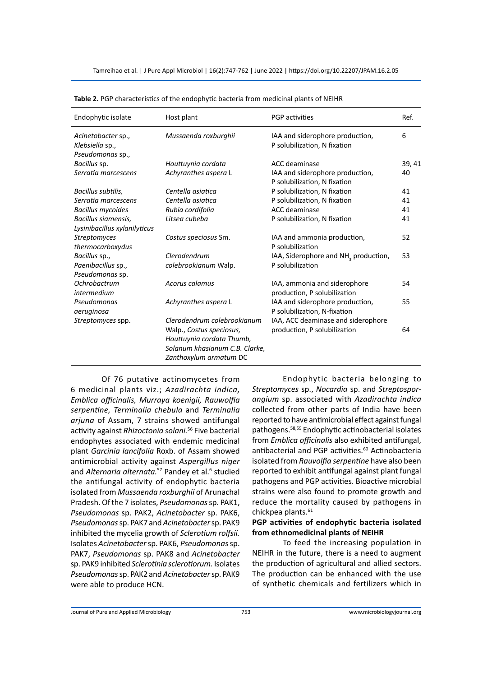| Endophytic isolate                                        | Host plant                                                                                                             | <b>PGP</b> activities                                                | Ref.   |
|-----------------------------------------------------------|------------------------------------------------------------------------------------------------------------------------|----------------------------------------------------------------------|--------|
| Acinetobacter sp.,<br>Klebsiella sp.,<br>Pseudomonas sp., | Mussaenda roxburghii                                                                                                   | IAA and siderophore production,<br>P solubilization, N fixation      | 6      |
| Bacillus sp.                                              | Houttuynia cordata                                                                                                     | ACC deaminase                                                        | 39, 41 |
| Serratia marcescens                                       | Achyranthes aspera L                                                                                                   | IAA and siderophore production,<br>P solubilization, N fixation      | 40     |
| Bacillus subtilis,                                        | Centella asiatica                                                                                                      | P solubilization, N fixation                                         | 41     |
| Serratia marcescens                                       | Centella asiatica                                                                                                      | P solubilization, N fixation                                         | 41     |
| <b>Bacillus mycoides</b>                                  | Rubia cordifolia                                                                                                       | ACC deaminase                                                        | 41     |
| Bacillus siamensis,<br>Lysinibacillus xylanilyticus       | Litsea cubeba                                                                                                          | P solubilization, N fixation                                         | 41     |
| <b>Streptomyces</b><br>thermocarboxydus                   | Costus speciosus Sm.                                                                                                   | IAA and ammonia production,<br>P solubilization                      | 52     |
| Bacillus sp.,<br>Paenibacillus sp.,<br>Pseudomonas sp.    | Clerodendrum<br>colebrookianum Walp.                                                                                   | IAA, Siderophore and NH <sub>3</sub> production,<br>P solubilization | 53     |
| Ochrobactrum<br>intermedium                               | Acorus calamus                                                                                                         | IAA, ammonia and siderophore<br>production, P solubilization         | 54     |
| Pseudomonas<br>aeruginosa                                 | Achyranthes aspera L                                                                                                   | IAA and siderophore production,<br>P solubilization, N-fixation      | 55     |
| Streptomyces spp.                                         | Clerodendrum colebrookianum<br>Walp., Costus speciosus,<br>Houttuynia cordata Thumb,<br>Solanum khasianum C.B. Clarke, | IAA, ACC deaminase and siderophore<br>production, P solubilization   | 64     |
|                                                           | Zanthoxylum armatum DC                                                                                                 |                                                                      |        |

| Table 2. PGP characteristics of the endophytic bacteria from medicinal plants of NEIHR |
|----------------------------------------------------------------------------------------|
|----------------------------------------------------------------------------------------|

Of 76 putative actinomycetes from 6 medicinal plants viz.; *Azadirachta indica, Emblica officinalis, Murraya koenigii, Rauwolfia serpentine, Terminalia chebula* and *Terminalia arjuna* of Assam, 7 strains showed antifungal activity against *Rhizoctonia solani.*56 Five bacterial endophytes associated with endemic medicinal plant *Garcinia lancifolia* Roxb. of Assam showed antimicrobial activity against *Aspergillus niger*  and Alternaria alternata.<sup>57</sup> Pandey et al.<sup>6</sup> studied the antifungal activity of endophytic bacteria isolated from *Mussaenda roxburghii* of Arunachal Pradesh. Of the 7 isolates, *Pseudomonas* sp. PAK1, *Pseudomonas* sp. PAK2, *Acinetobacter* sp. PAK6, *Pseudomonas* sp. PAK7 and *Acinetobacter* sp. PAK9 inhibited the mycelia growth of *Sclerotium rolfsii.*  Isolates *Acinetobacter* sp. PAK6, *Pseudomonas* sp. PAK7, *Pseudomonas* sp. PAK8 and *Acinetobacter*  sp. PAK9 inhibited *Sclerotinia sclerotiorum.* Isolates *Pseudomonas* sp. PAK2 and *Acinetobacter* sp. PAK9 were able to produce HCN.

Endophytic bacteria belonging to *Streptomyces* sp., *Nocardia* sp. and *Streptosporangium* sp. associated with *Azadirachta indica* collected from other parts of India have been reported to have antimicrobial effect against fungal pathogens.58,59 Endophytic actinobacterial isolates from *Emblica officinalis* also exhibited antifungal, antibacterial and PGP activities.<sup>60</sup> Actinobacteria isolated from *Rauvolfia serpentine* have also been reported to exhibit antifungal against plant fungal pathogens and PGP activities. Bioactive microbial strains were also found to promote growth and reduce the mortality caused by pathogens in chickpea plants.<sup>61</sup>

## **PGP activities of endophytic bacteria isolated from ethnomedicinal plants of NEIHR**

To feed the increasing population in NEIHR in the future, there is a need to augment the production of agricultural and allied sectors. The production can be enhanced with the use of synthetic chemicals and fertilizers which in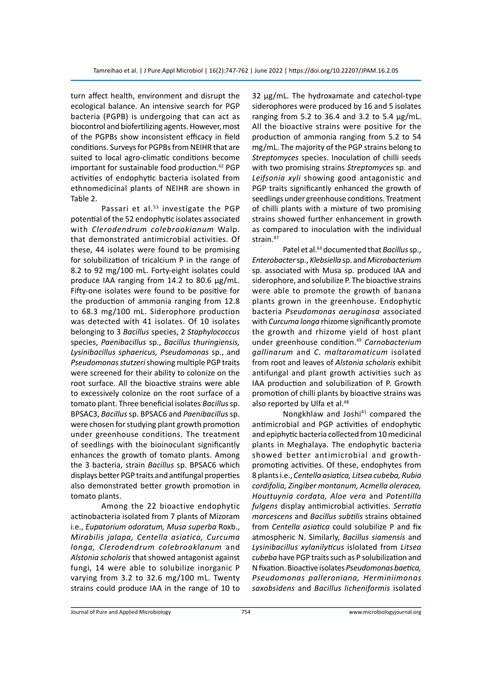turn affect health, environment and disrupt the ecological balance. An intensive search for PGP bacteria (PGPB) is undergoing that can act as biocontrol and biofertilizing agents. However, most of the PGPBs show inconsistent efficacy in field conditions. Surveys for PGPBs from NEIHR that are suited to local agro-climatic conditions become important for sustainable food production.<sup>62</sup> PGP activities of endophytic bacteria isolated from ethnomedicinal plants of NEIHR are shown in Table 2.

Passari et al.<sup>53</sup> investigate the PGP potential of the 52 endophytic isolates associated with *Clerodendrum colebrookianum* Walp. that demonstrated antimicrobial activities. Of these, 44 isolates were found to be promising for solubilization of tricalcium P in the range of 8.2 to 92 mg/100 mL. Forty-eight isolates could produce IAA ranging from 14.2 to 80.6 µg/mL. Fifty-one isolates were found to be positive for the production of ammonia ranging from 12.8 to 68.3 mg/100 mL. Siderophore production was detected with 41 isolates. Of 10 isolates belonging to 3 *Bacillus* species, 2 *Staphylococcus*  species, *Paenibacillus* sp., *Bacillus thuringiensis, Lysinibacillus sphaericus, Pseudomonas* sp., and *Pseudomonas stutzeri* showing multiple PGP traits were screened for their ability to colonize on the root surface. All the bioactive strains were able to excessively colonize on the root surface of a tomato plant. Three beneficial isolates *Bacillus* sp. BPSAC3, *Bacillus* sp. BPSAC6 and *Paenibacillus* sp. were chosen for studying plant growth promotion under greenhouse conditions. The treatment of seedlings with the bioinoculant significantly enhances the growth of tomato plants. Among the 3 bacteria, strain *Bacillus* sp. BPSAC6 which displays better PGP traits and antifungal properties also demonstrated better growth promotion in tomato plants.

Among the 22 bioactive endophytic actinobacteria isolated from 7 plants of Mizoram i.e., *Eupatorium odoratum, Musa superba* Roxb., *Mirabilis jalapa, Centella asiatica, Curcuma longa, Clerodendrum colebrooklanum* and *Alstonia scholaris* that showed antagonist against fungi, 14 were able to solubilize inorganic P varying from 3.2 to 32.6 mg/100 mL. Twenty strains could produce IAA in the range of 10 to 32 μg/mL. The hydroxamate and catechol-type siderophores were produced by 16 and 5 isolates ranging from 5.2 to 36.4 and 3.2 to 5.4 μg/mL. All the bioactive strains were positive for the production of ammonia ranging from 5.2 to 54 mg/mL. The majority of the PGP strains belong to *Streptomyces* species. Inoculation of chilli seeds with two promising strains *Streptomyces* sp. and *Leifsonia xyli* showing good antagonistic and PGP traits significantly enhanced the growth of seedlings under greenhouse conditions. Treatment of chilli plants with a mixture of two promising strains showed further enhancement in growth as compared to inoculation with the individual strain.<sup>47</sup>

Patel et al.<sup>63</sup> documented that *Bacillus* sp., *Enterobacter* sp., *Klebsiella* sp. and *Microbacterium*  sp. associated with Musa sp. produced IAA and siderophore, and solubilize P. The bioactive strains were able to promote the growth of banana plants grown in the greenhouse. Endophytic bacteria *Pseudomonas aeruginosa* associated with *Curcuma longa* rhizome significantly promote the growth and rhizome yield of host plant under greenhouse condition.<sup>49</sup> *Carnobacterium gallinarum* and *C. maltaromaticum* isolated from root and leaves of *Alstonia scholaris* exhibit antifungal and plant growth activities such as IAA production and solubilization of P. Growth promotion of chilli plants by bioactive strains was also reported by Ulfa et al.<sup>48</sup>

Nongkhlaw and Joshi<sup>41</sup> compared the antimicrobial and PGP activities of endophytic and epiphytic bacteria collected from 10 medicinal plants in Meghalaya. The endophytic bacteria showed better antimicrobial and growthpromoting activities. Of these, endophytes from 8 plants i.e., *Centella asiatica, Litsea cubeba, Rubia cordifolia, Zingiber montanum, Acmella oleracea, Houttuynia cordata, Aloe vera* and *Potentilla fulgens* display antimicrobial activities. *Serratia marcescens* and *Bacillus subtilis* strains obtained from *Centella asiatica* could solubilize P and fix atmospheric N. Similarly, *Bacillus siamensis* and *Lysinibacillus xylanilyticus* islolated from *Litsea cubeba* have PGP traits such as P solubilization and N fixation. Bioactive isolates *Pseudomonas baetica, Pseudomonas palleroniana, Herminiimonas saxobsidens* and *Bacillus licheniformis* isolated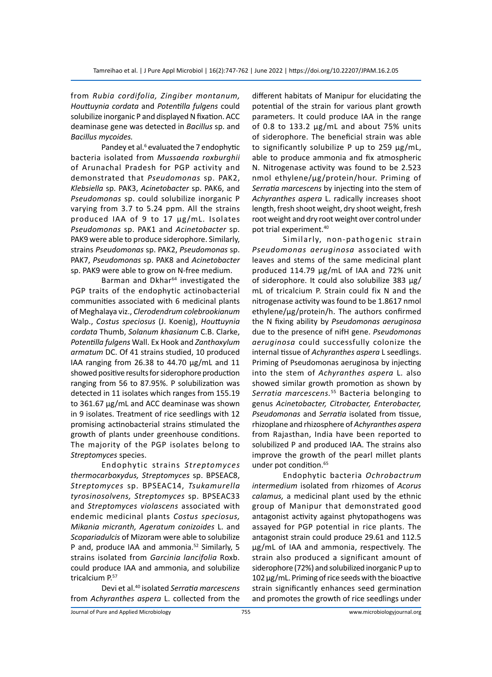from *Rubia cordifolia, Zingiber montanum, Houttuynia cordata* and *Potentilla fulgens* could solubilize inorganic P and displayed N fixation. ACC deaminase gene was detected in *Bacillus* sp. and *Bacillus mycoides.*

Pandey et al.<sup>6</sup> evaluated the 7 endophytic bacteria isolated from *Mussaenda roxburghii*  of Arunachal Pradesh for PGP activity and demonstrated that *Pseudomonas* sp. PAK2, *Klebsiella* sp. PAK3, *Acinetobacter* sp. PAK6, and *Pseudomonas* sp. could solubilize inorganic P varying from 3.7 to 5.24 ppm. All the strains produced IAA of 9 to 17 µg/mL. Isolates *Pseudomonas* sp. PAK1 and *Acinetobacter* sp. PAK9 were able to produce siderophore. Similarly, strains *Pseudomonas* sp. PAK2, *Pseudomonas* sp. PAK7, *Pseudomonas* sp. PAK8 and *Acinetobacter* sp. PAK9 were able to grow on N-free medium.

Barman and Dkhar<sup>64</sup> investigated the PGP traits of the endophytic actinobacterial communities associated with 6 medicinal plants of Meghalaya viz., *Clerodendrum colebrookianum*  Walp., *Costus speciosus* (J. Koenig), *Houttuynia cordata* Thumb, *Solanum khasianum* C.B. Clarke, *Potentilla fulgens* Wall. Ex Hook and *Zanthoxylum armatum* DC. Of 41 strains studied, 10 produced IAA ranging from 26.38 to 44.70 µg/mL and 11 showed positive results for siderophore production ranging from 56 to 87.95%. P solubilization was detected in 11 isolates which ranges from 155.19 to 361.67 µg/mL and ACC deaminase was shown in 9 isolates. Treatment of rice seedlings with 12 promising actinobacterial strains stimulated the growth of plants under greenhouse conditions. The majority of the PGP isolates belong to *Streptomyces* species.

Endophytic strains *Streptomyces thermocarboxydus, Streptomyces* sp. BPSEAC8, *Streptomyces* sp. BPSEAC14, *Tsukamurella tyrosinosolvens, Streptomyces* sp. BPSEAC33 and *Streptomyces violascens* associated with endemic medicinal plants *Costus speciosus, Mikania micranth, Ageratum conizoides* L. and *Scopariadulcis* of Mizoram were able to solubilize P and, produce IAA and ammonia.<sup>52</sup> Similarly, 5 strains isolated from *Garcinia lancifolia* Roxb. could produce IAA and ammonia, and solubilize tricalcium P.57

Devi et al.40 isolated *Serratia marcescens*  from *Achyranthes aspera* L. collected from the different habitats of Manipur for elucidating the potential of the strain for various plant growth parameters. It could produce IAA in the range of 0.8 to 133.2  $\mu$ g/mL and about 75% units of siderophore. The beneficial strain was able to significantly solubilize P up to 259 µg/mL, able to produce ammonia and fix atmospheric N. Nitrogenase activity was found to be 2.523 nmol ethylene/µg/protein/hour. Priming of *Serratia marcescens* by injecting into the stem of *Achyranthes aspera* L. radically increases shoot length, fresh shoot weight, dry shoot weight, fresh root weight and dry root weight over control under pot trial experiment.<sup>40</sup>

Similarly, non-pathogenic strain *Pseudomonas aeruginosa* associated with leaves and stems of the same medicinal plant produced 114.79 µg/mL of IAA and 72% unit of siderophore. It could also solubilize 383 µg/ mL of tricalcium P. Strain could fix N and the nitrogenase activity was found to be 1.8617 nmol ethylene/µg/protein/h. The authors confirmed the N fixing ability by *Pseudomonas aeruginosa*  due to the presence of nifH gene. *Pseudomonas aeruginosa* could successfully colonize the internal tissue of *Achyranthes aspera* L seedlings. Priming of Pseudomonas aeruginosa by injecting into the stem of *Achyranthes aspera* L. also showed similar growth promotion as shown by *Serratia marcescens.*<sup>55</sup> Bacteria belonging to genus *Acinetobacter, Citrobacter, Enterobacter, Pseudomonas* and *Serratia* isolated from tissue, rhizoplane and rhizosphere of *Achyranthes aspera*  from Rajasthan, India have been reported to solubilized P and produced IAA. The strains also improve the growth of the pearl millet plants under pot condition.<sup>65</sup>

Endophytic bacteria *Ochrobactrum intermedium* isolated from rhizomes of *Acorus calamus,* a medicinal plant used by the ethnic group of Manipur that demonstrated good antagonist activity against phytopathogens was assayed for PGP potential in rice plants. The antagonist strain could produce 29.61 and 112.5 μg/mL of IAA and ammonia, respectively. The strain also produced a significant amount of siderophore (72%) and solubilized inorganic P up to 102 μg/mL. Priming of rice seeds with the bioactive strain significantly enhances seed germination and promotes the growth of rice seedlings under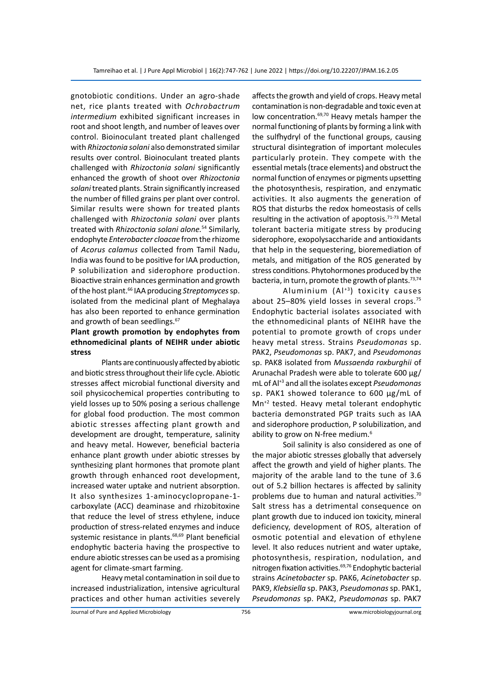gnotobiotic conditions. Under an agro-shade net, rice plants treated with *Ochrobactrum intermedium* exhibited significant increases in root and shoot length, and number of leaves over control. Bioinoculant treated plant challenged with *Rhizoctonia solani* also demonstrated similar results over control. Bioinoculant treated plants challenged with *Rhizoctonia solani* significantly enhanced the growth of shoot over *Rhizoctonia solani* treated plants. Strain significantly increased the number of filled grains per plant over control. Similar results were shown for treated plants challenged with *Rhizoctonia solani* over plants treated with *Rhizoctonia solani alone.*<sup>54</sup> Similarly, endophyte *Enterobacter cloacae* from the rhizome of *Acorus calamus* collected from Tamil Nadu, India was found to be positive for IAA production, P solubilization and siderophore production. Bioactive strain enhances germination and growth of the host plant.<sup>66</sup> IAA producing *Streptomyces* sp. isolated from the medicinal plant of Meghalaya has also been reported to enhance germination and growth of bean seedlings.<sup>67</sup>

## **Plant growth promotion by endophytes from ethnomedicinal plants of NEIHR under abiotic stress**

Plants are continuously affected by abiotic and biotic stress throughout their life cycle. Abiotic stresses affect microbial functional diversity and soil physicochemical properties contributing to yield losses up to 50% posing a serious challenge for global food production. The most common abiotic stresses affecting plant growth and development are drought, temperature, salinity and heavy metal. However, beneficial bacteria enhance plant growth under abiotic stresses by synthesizing plant hormones that promote plant growth through enhanced root development, increased water uptake and nutrient absorption. It also synthesizes 1-aminocyclopropane-1 carboxylate (ACC) deaminase and rhizobitoxine that reduce the level of stress ethylene, induce production of stress-related enzymes and induce systemic resistance in plants.<sup>68,69</sup> Plant beneficial endophytic bacteria having the prospective to endure abiotic stresses can be used as a promising agent for climate-smart farming.

Heavy metal contamination in soil due to increased industrialization, intensive agricultural practices and other human activities severely affects the growth and yield of crops. Heavy metal contamination is non-degradable and toxic even at low concentration.<sup>69,70</sup> Heavy metals hamper the normal functioning of plants by forming a link with the sulfhydryl of the functional groups, causing structural disintegration of important molecules particularly protein. They compete with the essential metals (trace elements) and obstruct the normal function of enzymes or pigments upsetting the photosynthesis, respiration, and enzymatic activities. It also augments the generation of ROS that disturbs the redox homeostasis of cells resulting in the activation of apoptosis. $71-73$  Metal tolerant bacteria mitigate stress by producing siderophore, exopolysaccharide and antioxidants that help in the sequestering, bioremediation of metals, and mitigation of the ROS generated by stress conditions. Phytohormones produced by the bacteria, in turn, promote the growth of plants.<sup>73,74</sup>

Aluminium  $(A|^{*3})$  toxicity causes about 25–80% yield losses in several crops.<sup>75</sup> Endophytic bacterial isolates associated with the ethnomedicinal plants of NEIHR have the potential to promote growth of crops under heavy metal stress. Strains *Pseudomonas* sp. PAK2, *Pseudomonas* sp. PAK7, and *Pseudomonas* sp. PAK8 isolated from *Mussaenda roxburghii* of Arunachal Pradesh were able to tolerate 600 µg/ mL of Al+3 and all the isolates except *Pseudomonas*  sp. PAK1 showed tolerance to 600 µg/mL of Mn+2 tested. Heavy metal tolerant endophytic bacteria demonstrated PGP traits such as IAA and siderophore production, P solubilization, and ability to grow on N-free medium.<sup>6</sup>

Soil salinity is also considered as one of the major abiotic stresses globally that adversely affect the growth and yield of higher plants. The majority of the arable land to the tune of 3.6 out of 5.2 billion hectares is affected by salinity problems due to human and natural activities.<sup>70</sup> Salt stress has a detrimental consequence on plant growth due to induced ion toxicity, mineral deficiency, development of ROS, alteration of osmotic potential and elevation of ethylene level. It also reduces nutrient and water uptake, photosynthesis, respiration, nodulation, and nitrogen fixation activities.69,76 Endophytic bacterial strains *Acinetobacter* sp. PAK6, *Acinetobacter* sp. PAK9, *Klebsiella* sp. PAK3, *Pseudomonas* sp. PAK1, *Pseudomonas* sp. PAK2, *Pseudomonas* sp. PAK7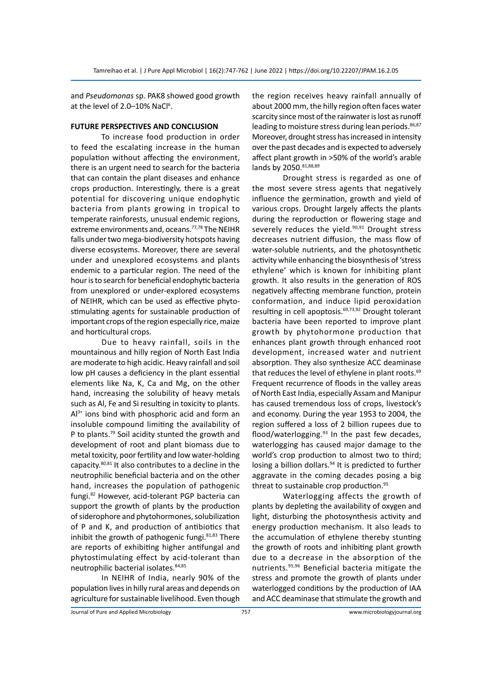and *Pseudomonas* sp. PAK8 showed good growth at the level of 2.0-10% NaCl<sup>6</sup>.

## **FUTURE PERSPECTIVES AND CONCLUSION**

To increase food production in order to feed the escalating increase in the human population without affecting the environment, there is an urgent need to search for the bacteria that can contain the plant diseases and enhance crops production. Interestingly, there is a great potential for discovering unique endophytic bacteria from plants growing in tropical to temperate rainforests, unusual endemic regions, extreme environments and, oceans.<sup>77,78</sup> The NEIHR falls under two mega-biodiversity hotspots having diverse ecosystems. Moreover, there are several under and unexplored ecosystems and plants endemic to a particular region. The need of the hour is to search for beneficial endophytic bacteria from unexplored or under-explored ecosystems of NEIHR, which can be used as effective phytostimulating agents for sustainable production of important crops of the region especially rice, maize and horticultural crops.

Due to heavy rainfall, soils in the mountainous and hilly region of North East India are moderate to high acidic. Heavy rainfall and soil low pH causes a deficiency in the plant essential elements like Na, K, Ca and Mg, on the other hand, increasing the solubility of heavy metals such as Al, Fe and Si resulting in toxicity to plants.  $Al^{3+}$  ions bind with phosphoric acid and form an insoluble compound limiting the availability of P to plants.<sup>79</sup> Soil acidity stunted the growth and development of root and plant biomass due to metal toxicity, poor fertility and low water-holding capacity.80,81 It also contributes to a decline in the neutrophilic beneficial bacteria and on the other hand, increases the population of pathogenic fungi.<sup>82</sup> However, acid-tolerant PGP bacteria can support the growth of plants by the production of siderophore and phytohormones, solubilization of P and K, and production of antibiotics that inhibit the growth of pathogenic fungi. $81,83$  There are reports of exhibiting higher antifungal and phytostimulating effect by acid-tolerant than neutrophilic bacterial isolates. 84,85

In NEIHR of India, nearly 90% of the population lives in hilly rural areas and depends on agriculture for sustainable livelihood. Even though the region receives heavy rainfall annually of about 2000 mm, the hilly region often faces water scarcity since most of the rainwater is lost as runoff leading to moisture stress during lean periods.<sup>86,87</sup> Moreover, drought stress has increased in intensity over the past decades and is expected to adversely affect plant growth in >50% of the world's arable lands by 2050. 81,88,89

Drought stress is regarded as one of the most severe stress agents that negatively influence the germination, growth and yield of various crops. Drought largely affects the plants during the reproduction or flowering stage and severely reduces the yield.<sup>90,91</sup> Drought stress decreases nutrient diffusion, the mass flow of water-soluble nutrients, and the photosynthetic activity while enhancing the biosynthesis of 'stress ethylene' which is known for inhibiting plant growth. It also results in the generation of ROS negatively affecting membrane function, protein conformation, and induce lipid peroxidation resulting in cell apoptosis.69,73,92 Drought tolerant bacteria have been reported to improve plant growth by phytohormone production that enhances plant growth through enhanced root development, increased water and nutrient absorption. They also synthesize ACC deaminase that reduces the level of ethylene in plant roots.<sup>69</sup> Frequent recurrence of floods in the valley areas of North East India, especially Assam and Manipur has caused tremendous loss of crops, livestock's and economy. During the year 1953 to 2004, the region suffered a loss of 2 billion rupees due to flood/waterlogging. $93$  In the past few decades, waterlogging has caused major damage to the world's crop production to almost two to third; losing a billion dollars.<sup>94</sup> It is predicted to further aggravate in the coming decades posing a big threat to sustainable crop production.<sup>95</sup>

Waterlogging affects the growth of plants by depleting the availability of oxygen and light, disturbing the photosynthesis activity and energy production mechanism. It also leads to the accumulation of ethylene thereby stunting the growth of roots and inhibiting plant growth due to a decrease in the absorption of the nutrients.95,96 Beneficial bacteria mitigate the stress and promote the growth of plants under waterlogged conditions by the production of IAA and ACC deaminase that stimulate the growth and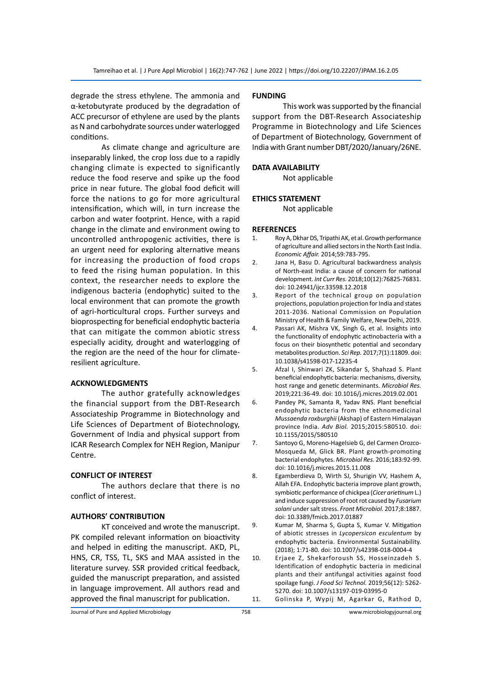degrade the stress ethylene. The ammonia and α-ketobutyrate produced by the degradation of ACC precursor of ethylene are used by the plants as N and carbohydrate sources under waterlogged conditions.

As climate change and agriculture are inseparably linked, the crop loss due to a rapidly changing climate is expected to significantly reduce the food reserve and spike up the food price in near future. The global food deficit will force the nations to go for more agricultural intensification, which will, in turn increase the carbon and water footprint. Hence, with a rapid change in the climate and environment owing to uncontrolled anthropogenic activities, there is an urgent need for exploring alternative means for increasing the production of food crops to feed the rising human population. In this context, the researcher needs to explore the indigenous bacteria (endophytic) suited to the local environment that can promote the growth of agri-horticultural crops. Further surveys and bioprospecting for beneficial endophytic bacteria that can mitigate the common abiotic stress especially acidity, drought and waterlogging of the region are the need of the hour for climateresilient agriculture.

#### **ACKNOWLEDGMENTS**

The author gratefully acknowledges the financial support from the DBT-Research Associateship Programme in Biotechnology and Life Sciences of Department of Biotechnology, Government of India and physical support from ICAR Research Complex for NEH Region, Manipur Centre.

#### **CONFLICT OF INTEREST**

The authors declare that there is no conflict of interest.

#### **AUTHORS' CONTRIBUTION**

KT conceived and wrote the manuscript. PK compiled relevant information on bioactivity and helped in editing the manuscript. AKD, PL, HNS, CR, TSS, TL, SKS and MAA assisted in the literature survey. SSR provided critical feedback, guided the manuscript preparation, and assisted in language improvement. All authors read and approved the final manuscript for publication.

#### **FUNDING**

This work was supported by the financial support from the DBT-Research Associateship Programme in Biotechnology and Life Sciences of Department of Biotechnology, Government of India with Grant number DBT/2020/January/26NE.

#### **DATA AVAILABILITY**

Not applicable

#### **ETHICS STATEMENT**

Not applicable

#### **REFERENCES**

- 1. Roy A, Dkhar DS, Tripathi AK, et al. Growth performance of agriculture and allied sectors in the North East India. *Economic Affair.* 2014;59:783-795.
- 2. Jana H, Basu D. Agricultural backwardness analysis of North-east India: a cause of concern for national development. *Int Curr Res.* 2018;10(12):76825-76831. doi: 10.24941/ijcr.33598.12.2018
- 3. Report of the technical group on population projections, population projection for India and states 2011-2036. National Commission on Population Ministry of Health & Family Welfare, New Delhi, 2019.
- 4. Passari AK, Mishra VK, Singh G, et al. Insights into the functionality of endophytic actinobacteria with a focus on their biosynthetic potential and secondary metabolites production. *Sci Rep.* 2017;7(1):11809. doi: 10.1038/s41598-017-12235-4
- 5. Afzal I, Shinwari ZK, Sikandar S, Shahzad S. Plant beneficial endophytic bacteria: mechanisms, diversity, host range and genetic determinants. *Microbiol Res.* 2019;221:36-49. doi: 10.1016/j.micres.2019.02.001
- 6. Pandey PK, Samanta R, Yadav RNS. Plant beneficial endophytic bacteria from the ethnomedicinal *Mussaenda roxburghii* (Akshap) of Eastern Himalayan province India. *Adv Biol.* 2015;2015:580510. doi: 10.1155/2015/580510
- 7. Santoyo G, Moreno-Hagelsieb G, del Carmen Orozco-Mosqueda M, Glick BR. Plant growth-promoting bacterial endophytes. *Microbiol Res.* 2016;183:92-99. doi: 10.1016/j.micres.2015.11.008
- 8. Egamberdieva D, Wirth SJ, Shurigin VV, Hashem A, Allah EFA. Endophytic bacteria improve plant growth, symbiotic performance of chickpea (*Cicer arietinum* L.) and induce suppression of root rot caused by *Fusarium solani* under salt stress. *Front Microbiol.* 2017;8:1887. doi: 10.3389/fmicb.2017.01887
- 9. Kumar M, Sharma S, Gupta S, Kumar V. Mitigation of abiotic stresses in *Lycopersicon esculentum* by endophytic bacteria. Environmental Sustainability. (2018); 1:71-80. doi: 10.1007/s42398-018-0004-4
- 10. Erjaee Z, Shekarforoush SS, Hosseinzadeh S. Identification of endophytic bacteria in medicinal plants and their antifungal activities against food spoilage fungi. *J Food Sci Technol.* 2019;56(12): 5262- 5270. doi: 10.1007/s13197-019-03995-0 11. Golinska P, Wypij M, Agarkar G, Rathod D,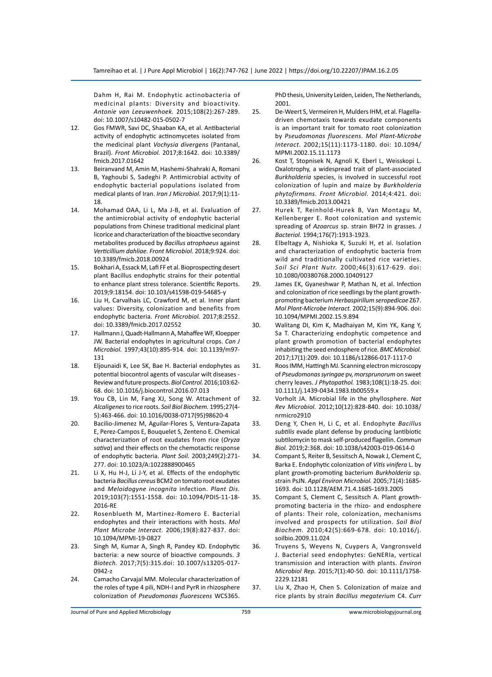Dahm H, Rai M. Endophytic actinobacteria of medicinal plants: Diversity and bioactivity. *Antonie van Leeuwenhoek.* 2015;108(2):267-289. doi: 10.1007/s10482-015-0502-7

- 12. Gos FMWR, Savi DC, Shaaban KA, et al. Antibacterial activity of endophytic actinomycetes isolated from the medicinal plant *Vochysia divergens* (Pantanal, Brazil). *Front Microbiol.* 2017;8:1642. doi: 10.3389/ fmicb.2017.01642
- 13. Beiranvand M, Amin M, Hashemi-Shahraki A, Romani B, Yaghoubi S, Sadeghi P. Antimicrobial activity of endophytic bacterial populations isolated from medical plants of Iran. *Iran J Microbiol.* 2017;9(1):11- 18.
- 14. Mohamad OAA, Li L, Ma J-B, et al. Evaluation of the antimicrobial activity of endophytic bacterial populations from Chinese traditional medicinal plant licorice and characterization of the bioactive secondary metabolites produced by *Bacillus atrophaeus* against *Verticillium dahliae. Front Microbiol.* 2018;9:924. doi: 10.3389/fmicb.2018.00924
- 15. Bokhari A, Essack M, Lafi FF et al. Bioprospecting desert plant Bacillus endophytic strains for their potential to enhance plant stress tolerance. Scientific Reports. 2019;9:18154. doi: 10.103/s41598-019-54685-y
- 16. Liu H, Carvalhais LC, Crawford M, et al. Inner plant values: Diversity, colonization and benefits from endophytic bacteria. *Front Microbiol.* 2017;8:2552. doi: 10.3389/fmicb.2017.02552
- 17. Hallmann J, Quadt-Hallmann A, Mahaffee WF, Kloepper JW. Bacterial endophytes in agricultural crops. *Can J Microbiol.* 1997;43(10):895-914. doi: 10.1139/m97- 131
- 18. Eljounaidi K, Lee SK, Bae H. Bacterial endophytes as potential biocontrol agents of vascular wilt diseases - Review and future prospects. *Biol Control.* 2016;103:62- 68. doi: 10.1016/j.biocontrol.2016.07.013
- 19. You CB, Lin M, Fang XJ, Song W. Attachment of *Alcaligenes* to rice roots. *Soil Biol Biochem.* 1995;27(4- 5):463-466. doi: 10.1016/0038-0717(95)98620-4
- 20. Bacilio-Jimenez M, Aguilar-Flores S, Ventura-Zapata E, Perez-Campos E, Bouquelet S, Zenteno E. Chemical characterization of root exudates from rice (*Oryza sativa*) and their effects on the chemotactic response of endophytic bacteria. *Plant Soil.* 2003;249(2):271- 277. doi: 10.1023/A:1022888900465
- 21. Li X, Hu H-J, Li J-Y, et al. Effects of the endophytic bacteria *Bacillus cereus* BCM2 on tomato root exudates and *Meloidogyne incognita* infection. *Plant Dis.*  2019;103(7):1551-1558. doi: 10.1094/PDIS-11-18- 2016-RE
- 22. Rosenblueth M, Martinez-Romero E. Bacterial endophytes and their interactions with hosts. *Mol Plant Microbe Interact.* 2006;19(8):827-837. doi: 10.1094/MPMI-19-0827
- 23. Singh M, Kumar A, Singh R, Pandey KD. Endophytic bacteria: a new source of bioactive compounds. *3 Biotech.* 2017;7(5):315.doi: 10.1007/s13205-017- 0942-z
- 24. Camacho Carvajal MM. Molecular characterization of the roles of type 4 pili, NDH-I and PyrR in rhizosphere colonization of *Pseudomonas fluorescens* WCS365.

PhD thesis, University Leiden, Leiden, The Netherlands, 2001.

- 25. De-Weert S, Vermeiren H, Mulders IHM, et al. Flagelladriven chemotaxis towards exudate components is an important trait for tomato root colonization by *Pseudomonas fluorescens. Mol Plant-Microbe Interact.* 2002;15(11):1173-1180. doi: 10.1094/ MPMI.2002.15.11.1173
- 26. Kost T, Stopnisek N, Agnoli K, Eberl L, Weisskopi L. Oxalotrophy, a widespread trait of plant-associated *Burkholderia* species, is involved in successful root colonization of lupin and maize by *Burkholderia phytofirmans. Front Microbiol.* 2014;4:421. doi: 10.3389/fmicb.2013.00421
- 27. Hurek T, Reinhold-Hurek B, Van Montagu M, Kellenberger E. Root colonization and systemic spreading of *Azoarcus* sp. strain BH72 in grasses. *J Bacteriol.* 1994;176(7):1913-1923.
- 28. Elbeltagy A, Nishioka K, Suzuki H, et al. Isolation and characterization of endophytic bacteria from wild and traditionally cultivated rice varieties. *Soil Sci Plant Nutr.* 2000;46(3):617-629. doi: 10.1080/00380768.2000.10409127
- 29. James EK, Gyaneshwar P, Mathan N, et al. Infection and colonization of rice seedlings by the plant growthpromoting bacterium *Herbaspirillum seropedicae* Z67. *Mol Plant-Microbe Interact.* 2002;15(9):894-906. doi: 10.1094/MPMI.2002.15.9.894
- 30. Walitang DI, Kim K, Madhaiyan M, Kim YK, Kang Y, Sa T. Characterizing endophytic competence and plant growth promotion of bacterial endophytes inhabiting the seed endosphere of rice. *BMC Microbiol.*  2017;17(1):209. doi: 10.1186/s12866-017-1117-0
- 31. Roos IMM, Hattingh MJ. Scanning electron microscopy of *Pseudomonas syringae* pv, *morsprunorum* on sweet cherry leaves. *J Phytopathol.* 1983;108(1):18-25. doi: 10.1111/j.1439-0434.1983.tb00559.x
- 32. Vorholt JA. Microbial life in the phyllosphere. *Nat Rev Microbiol.* 2012;10(12):828-840. doi: 10.1038/ nrmicro2910
- 33. Deng Y, Chen H, Li C, et al. Endophyte *Bacillus subtilis* evade plant defense by producing lantibiotic subtilomycin to mask self-produced flagellin. *Commun Biol.* 2019;2:368. doi: 10.1038/s42003-019-0614-0
- 34. Compant S, Reiter B, Sessitsch A, Nowak J, Clement C, Barka E. Endophytic colonization of *Vitis vinifera* L. by plant growth-promoting bacterium *Burkholderia* sp. strain PsJN. *Appl Environ Microbiol.* 2005;71(4):1685- 1693. doi: 10.1128/AEM.71.4.1685-1693.2005
- 35. Compant S, Clement C, Sessitsch A. Plant growthpromoting bacteria in the rhizo- and endosphere of plants: Their role, colonization, mechanisms involved and prospects for utilization. *Soil Biol Biochem.* 2010;42(5):669-678. doi: 10.1016/j. soilbio.2009.11.024
- 36. Truyens S, Weyens N, Cuypers A, Vangronsveld J. Bacterial seed endophytes: GeNERIa, vertical transmission and interaction with plants. *Environ Microbiol Rep.* 2015;7(1):40-50. doi: 10.1111/1758- 2229.12181
- 37. Liu X, Zhao H, Chen S. Colonization of maize and rice plants by strain *Bacillus megaterium* C4. *Curr*

Journal of Pure and Applied Microbiology 759 www.microbiologyjournal.org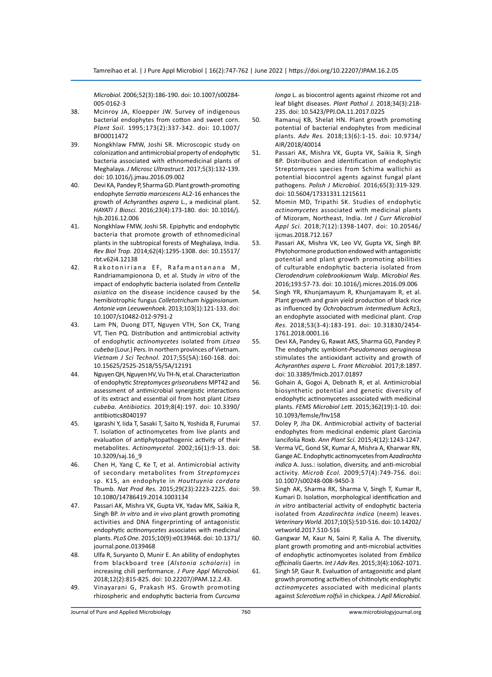*Microbiol.* 2006;52(3):186-190. doi: 10.1007/s00284- 005-0162-3

- 38. Mcinroy JA, Kloepper JW. Survey of indigenous bacterial endophytes from cotton and sweet corn. *Plant Soil.* 1995;173(2):337-342. doi: 10.1007/ BF00011472
- 39. Nongkhlaw FMW, Joshi SR. Microscopic study on colonization and antimicrobial property of endophytic bacteria associated with ethnomedicinal plants of Meghalaya. *J Microsc Ultrastruct.* 2017;5(3):132-139. doi: 10.1016/j.jmau.2016.09.002
- 40. Devi KA, Pandey P, Sharma GD. Plant growth-promoting endophyte *Serratia marcescens* AL2-16 enhances the growth of *Achyranthes aspera* L., a medicinal plant. *HAYATI J Biosci.* 2016;23(4):173-180. doi: 10.1016/j. hjb.2016.12.006
- 41. Nongkhlaw FMW, Joshi SR. Epiphytic and endophytic bacteria that promote growth of ethnomedicinal plants in the subtropical forests of Meghalaya, India. *Rev Biol Trop.* 2014;62(4):1295-1308. doi: 10.15517/ rbt.v62i4.12138
- 42. Rakotoniriana EF, Rafamantanana M, Randriamampionona D, et al. Study *in vitro* of the impact of endophytic bacteria isolated from *Centella asiatica* on the disease incidence caused by the hemibiotrophic fungus *Colletotrichum higginsianum. Antonie van Leeuwenhoek.* 2013;103(1):121-133. doi: 10.1007/s10482-012-9791-2
- 43. Lam PN, Duong DTT, Nguyen VTH, Son CK, Trang VT, Tien PQ. Distribution and antimicrobial activity of endophytic *actinomycetes* isolated from *Litsea cubeba* (Lour.) Pers. In northern provinces of Vietnam. *Vietnam J Sci Technol.* 2017;55(5A):160-168. doi: 10.15625/2525-2518/55/5A/12191
- 44. Nguyen QH, Nguyen HV, Vu TH-N, et al. Characterization of endophytic *Streptomyces griseorubens* MPT42 and assessment of antimicrobial synergistic interactions of its extract and essential oil from host plant *Litsea cubeba. Antibiotics.* 2019;8(4):197. doi: 10.3390/ antibiotics8040197
- 45. Igarashi Y, Iida T, Sasaki T, Saito N, Yoshida R, Furumai T. Isolation of actinomycetes from live plants and evaluation of antiphytopathogenic activity of their metabolites. *Actinomycetol.* 2002;16(1):9-13. doi: 10.3209/saj.16\_9
- 46. Chen H, Yang C, Ke T, et al. Antimicrobial activity of secondary metabolites from *Streptomyces* sp. K15, an endophyte in *Houttuynia cordata* Thumb. *Nat Prod Res.* 2015;29(23):2223-2225. doi: 10.1080/14786419.2014.1003134
- 47. Passari AK, Mishra VK, Gupta VK, Yadav MK, Saikia R, Singh BP. *In vitro* and *in vivo* plant growth promoting activities and DNA fingerprinting of antagonistic endophytic *actinomycetes* associates with medicinal plants. *PLoS One.* 2015;10(9):e0139468. doi: 10.1371/ journal.pone.0139468
- 48. Ulfa R, Suryanto D, Munir E. An ability of endophytes from blackboard tree (*Alstonia scholaris*) in increasing chili performance. *J Pure Appl Microbiol.* 2018;12(2):815-825. doi: 10.22207/JPAM.12.2.43.
- 49. Vinayarani G, Prakash HS. Growth promoting rhizospheric and endophytic bacteria from *Curcuma*

*longa* L. as biocontrol agents against rhizome rot and leaf blight diseases. *Plant Pathol J.* 2018;34(3):218- 235. doi: 10.5423/PPJ.OA.11.2017.0225

- 50. Ramanuj KB, Shelat HN. Plant growth promoting potential of bacterial endophytes from medicinal plants. *Adv Res.* 2018;13(6):1-15. doi: 10.9734/ AIR/2018/40014
- 51. Passari AK, Mishra VK, Gupta VK, Saikia R, Singh BP. Distribution and identification of endophytic Streptomyces species from Schima wallichii as potential biocontrol agents against fungal plant pathogens. *Polish J Microbiol.* 2016;65(3):319-329. doi: 10.5604/17331331.1215611
- 52. Momin MD, Tripathi SK. Studies of endophytic *actinomycetes* associated with medicinal plants of Mizoram, Northeast, India. *Int J Curr Microbiol Appl Sci.* 2018;7(12):1398-1407. doi: 10.20546/ ijcmas.2018.712.167
- 53. Passari AK, Mishra VK, Leo VV, Gupta VK, Singh BP. Phytohormone production endowed with antagonistic potential and plant growth promoting abilities of culturable endophytic bacteria isolated from *Clerodendrum colebrookianum* Walp. *Microbiol Res.* 2016;193:57-73. doi: 10.1016/j.micres.2016.09.006
- 54. Singh YR, Khunjamayum R, Khunjamayam R, et al. Plant growth and grain yield production of black rice as influenced by *Ochrobactrum intermedium* AcRz3, an endophyte associated with medicinal plant. *Crop Res.* 2018;53(3-4):183-191. doi: 10.31830/2454- 1761.2018.0001.16
- 55. Devi KA, Pandey G, Rawat AKS, Sharma GD, Pandey P. The endophytic symbiont-*Pseudomonas aeruginosa* stimulates the antioxidant activity and growth of *Achyranthes aspera* L. *Front Microbiol.* 2017;8:1897. doi: 10.3389/fmicb.2017.01897
- 56. Gohain A, Gogoi A, Debnath R, et al. Antimicrobial biosynthetic potential and genetic diversity of endophytic actinomycetes associated with medicinal plants. *FEMS Microbiol Lett.* 2015;362(19):1-10. doi: 10.1093/femsle/fnv158
- 57. Doley P, Jha DK. Antimicrobial activity of bacterial endophytes from medicinal endemic plant Garcinia lancifolia Roxb. *Ann Plant Sci.* 2015;4(12):1243-1247.
- 58. Verma VC, Gond SK, Kumar A, Mishra A, Kharwar RN, Gange AC. Endophytic actinomycetes from A*zadirachta indica* A. Juss.: isolation, diversity, and anti-microbial activity. *Microb Ecol.* 2009;57(4):749-756. doi: 10.1007/s00248-008-9450-3
- 59. Singh AK, Sharma RK, Sharma V, Singh T, Kumar R, Kumari D. Isolation, morphological identification and *in vitro* antibacterial activity of endophytic bacteria isolated from *Azadirachta indica* (neem) leaves. *Veterinary World.* 2017;10(5):510-516. doi: 10.14202/ vetworld.2017.510-516
- 60. Gangwar M, Kaur N, Saini P, Kalia A. The diversity, plant growth promoting and anti-microbial activities of endophytic actinomycetes isolated from *Emblica officinalis* Gaertn. *Int J Adv Res.* 2015;3(4):1062-1071.
- 61. Singh SP, Gaur R. Evaluation of antagonistic and plant growth promoting activities of chitinolytic endophytic *actinomycetes* associated with medicinal plants against *Sclerotium rolfsii* in chickpea. *J Apll Microbiol.*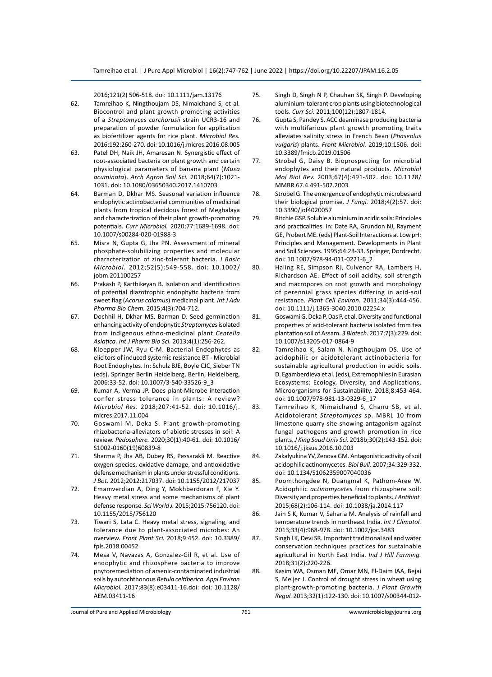2016;121(2) 506-518. doi: 10.1111/jam.13176

- 62. Tamreihao K, Ningthoujam DS, Nimaichand S, et al. Biocontrol and plant growth promoting activities of a *Streptomyces corchorusii* strain UCR3-16 and preparation of powder formulation for application as biofertilizer agents for rice plant. *Microbiol Res.* 2016;192:260-270. doi: 10.1016/j.micres.2016.08.005
- 63. Patel DH, Naik JH, Amaresan N. Synergistic effect of root-associated bacteria on plant growth and certain physiological parameters of banana plant (*Musa acuminata*). *Arch Agron Soil Sci.* 2018;64(7):1021- 1031. doi: 10.1080/03650340.2017.1410703
- 64. Barman D, Dkhar MS. Seasonal variation influence endophytic actinobacterial communities of medicinal plants from tropical decidous forest of Meghalaya and characterization of their plant growth-promoting potentials. *Curr Microbiol.* 2020;77:1689-1698. doi: 10.1007/s00284-020-01988-3
- 65. Misra N, Gupta G, Jha PN. Assessment of mineral phosphate-solubilizing properties and molecular characterization of zinc-tolerant bacteria. *J Basic Microbiol.* 2012;52(5):549-558. doi: 10.1002/ jobm.201100257
- 66. Prakash P, Karthikeyan B. Isolation and identification of potential diazotrophic endophytic bacteria from sweet flag (*Acorus calamus*) medicinal plant. *Int J Adv Pharma Bio Chem.* 2015;4(3):704-712.
- 67. Dochhil H, Dkhar MS, Barman D. Seed germination enhancing activity of endophytic *Streptomyces* isolated from indigenous ethno-medicinal plant *Centella Asiatica. Int J Pharm Bio Sci.* 2013;4(1):256-262.
- 68. Kloepper JW, Ryu C-M. Bacterial Endophytes as elicitors of induced systemic resistance BT - Microbial Root Endophytes. In: Schulz BJE, Boyle CJC, Sieber TN (eds). Springer Berlin Heidelberg, Berlin, Heidelberg, 2006:33-52. doi: 10.1007/3-540-33526-9\_3
- 69. Kumar A, Verma JP. Does plant-Microbe interaction confer stress tolerance in plants: A review? *Microbiol Res.* 2018;207:41-52. doi: 10.1016/j. micres.2017.11.004
- 70. Goswami M, Deka S. Plant growth-promoting rhizobacteria-alleviators of abiotic stresses in soil: A review. *Pedosphere.* 2020;30(1):40-61. doi: 10.1016/ S1002-0160(19)60839-8
- 71. Sharma P, Jha AB, Dubey RS, Pessarakli M. Reactive oxygen species, oxidative damage, and antioxidative defense mechanism in plants under stressful conditions. *J Bot.* 2012;2012:217037. doi: 10.1155/2012/217037
- 72. Emamverdian A, Ding Y, Mokhberdoran F, Xie Y. Heavy metal stress and some mechanisms of plant defense response. *Sci World J.* 2015;2015:756120. doi: 10.1155/2015/756120
- 73. Tiwari S, Lata C. Heavy metal stress, signaling, and tolerance due to plant-associated microbes: An overview. *Front Plant Sci.* 2018;9:452. doi: 10.3389/ fpls.2018.00452
- 74. Mesa V, Navazas A, Gonzalez-Gil R, et al. Use of endophytic and rhizosphere bacteria to improve phytoremediation of arsenic-contaminated industrial soils by autochthonous *Betula celtiberica. Appl Environ Microbiol.* 2017;83(8):e03411-16.doi: doi: 10.1128/ AEM.03411-16
- 75. Singh D, Singh N P, Chauhan SK, Singh P. Developing aluminium-tolerant crop plants using biotechnological tools. *Curr Sci.* 2011;100(12):1807-1814.
- 76. Gupta S, Pandey S. ACC deaminase producing bacteria with multifarious plant growth promoting traits alleviates salinity stress in French Bean (*Phaseolus vulgaris*) plants. *Front Microbiol.* 2019;10:1506. doi: 10.3389/fmicb.2019.01506
- 77. Strobel G, Daisy B. Bioprospecting for microbial endophytes and their natural products. *Microbiol Mol Biol Rev.* 2003;67(4):491-502. doi: 10.1128/ MMBR.67.4.491-502.2003
- 78. Strobel G. The emergence of endophytic microbes and their biological promise. *J Fungi.* 2018;4(2):57. doi: 10.3390/jof4020057
- 79. Ritchie GSP. Soluble aluminium in acidic soils: Principles and practicalities. In: Date RA, Grundon NJ, Rayment GE, Probert ME. (eds) Plant-Soil Interactions at Low pH: Principles and Management. Developments in Plant and Soil Sciences. 1995;64:23-33. Springer, Dordrecht. doi: 10.1007/978-94-011-0221-6\_2
- 80. Haling RE, Simpson RJ, Culvenor RA, Lambers H, Richardson AE. Effect of soil acidity, soil strength and macropores on root growth and morphology of perennial grass species differing in acid-soil resistance. *Plant Cell Environ.* 2011;34(3):444-456. doi: 10.1111/j.1365-3040.2010.02254.x
- 81. Goswami G, Deka P, Das P, et al. Diversity and functional properties of acid-tolerant bacteria isolated from tea plantation soil of Assam. *3 Biotech.* 2017;7(3):229. doi: 10.1007/s13205-017-0864-9
- 82. Tamreihao K, Salam N. Ningthoujam DS. Use of acidophilic or acidotolerant actinobacteria for sustainable agricultural production in acidic soils. D. Egamberdieva et al. (eds), Extremophiles in Eurasian Ecosystems: Ecology, Diversity, and Applications, Microorganisms for Sustainability. 2018;8:453-464. doi: 10.1007/978-981-13-0329-6\_17
- 83. Tamreihao K, Nimaichand S, Chanu SB, et al. Acidotolerant *Streptomyces* sp. MBRL 10 from limestone quarry site showing antagonism against fungal pathogens and growth promotion in rice plants. *J King Saud Univ Sci.* 2018b;30(2):143-152. doi: 10.1016/j.jksus.2016.10.003
- 84. Zakalyukina YV, Zenova GM. Antagonistic activity of soil acidophilic actinomycetes. *Biol Bull.* 2007;34:329-332. doi: 10.1134/S1062359007040036
- 85. Poomthongdee N, Duangmal K, Pathom-Aree W. Acidophilic *actinomycetes* from rhizosphere soil: Diversity and properties beneficial to plants. *J Antibiot.* 2015;68(2):106-114. doi: 10.1038/ja.2014.117
- 86. Jain S K, Kumar V, Saharia M. Analysis of rainfall and temperature trends in northeast India. *Int J Climatol.* 2013;33(4):968-978. doi: 10.1002/joc.3483
- 87. Singh LK, Devi SR. Important traditional soil and water conservation techniques practices for sustainable agricultural in North East India. *Ind J Hill Farming.* 2018;31(2):220-226.
- 88. Kasim WA, Osman ME, Omar MN, El-Daim IAA, Bejai S, Meijer J. Control of drought stress in wheat using plant-growth-promoting bacteria. *J Plant Growth Regul.* 2013;32(1):122-130. doi: 10.1007/s00344-012-